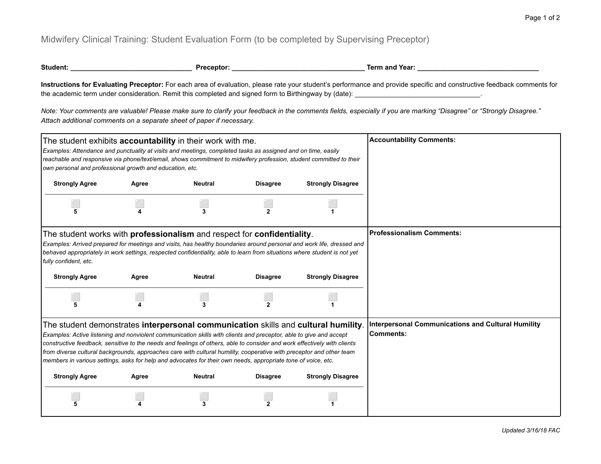## Midwifery Clinical Training: Student Evaluation Form (to be completed by Supervising Preceptor)

| Student: | Preceptor <sup>.</sup> | Term and Year: |
|----------|------------------------|----------------|
|          |                        |                |

**Instructions for Evaluating Preceptor:** For each area of evaluation, please rate your student's performance and provide specific and constructive feedback comments for the academic term under consideration. Remit this completed and signed form to Birthingway by (date): \_\_\_\_\_\_\_\_\_\_\_\_\_\_\_\_\_\_\_\_\_\_\_\_\_\_\_\_\_\_\_\_\_.

*Note: Your comments are valuable! Please make sure to clarify your feedback in the comments fields, especially if you are marking "Disagree" or "Strongly Disagree." Attach additional comments on a separate sheet of paper if necessary.*

| The student exhibits <b>accountability</b> in their work with me.<br>Examples: Attendance and punctuality at visits and meetings, completed tasks as assigned and on time, easily<br>reachable and responsive via phone/text/email, shows commitment to midwifery profession, student committed to their<br>own personal and professional growth and education, etc.                                                                                                                                                                                                          |       |                |                 |                          | <b>Accountability Comments:</b>                                               |
|-------------------------------------------------------------------------------------------------------------------------------------------------------------------------------------------------------------------------------------------------------------------------------------------------------------------------------------------------------------------------------------------------------------------------------------------------------------------------------------------------------------------------------------------------------------------------------|-------|----------------|-----------------|--------------------------|-------------------------------------------------------------------------------|
| <b>Strongly Agree</b>                                                                                                                                                                                                                                                                                                                                                                                                                                                                                                                                                         | Agree | <b>Neutral</b> | <b>Disagree</b> | <b>Strongly Disagree</b> |                                                                               |
|                                                                                                                                                                                                                                                                                                                                                                                                                                                                                                                                                                               |       | 3              |                 |                          |                                                                               |
| The student works with professionalism and respect for confidentiality.<br>Examples: Arrived prepared for meetings and visits, has healthy boundaries around personal and work life, dressed and<br>behaved appropriately in work settings, respected confidentiality, able to learn from situations where student is not yet<br>fully confident, etc.                                                                                                                                                                                                                        |       |                |                 |                          | <b>Professionalism Comments:</b>                                              |
| <b>Strongly Agree</b>                                                                                                                                                                                                                                                                                                                                                                                                                                                                                                                                                         | Agree | <b>Neutral</b> | <b>Disagree</b> | <b>Strongly Disagree</b> |                                                                               |
|                                                                                                                                                                                                                                                                                                                                                                                                                                                                                                                                                                               |       | 3              |                 |                          |                                                                               |
| The student demonstrates interpersonal communication skills and cultural humility.<br>Examples: Active listening and nonviolent communication skills with clients and preceptor, able to give and accept<br>constructive feedback, sensitive to the needs and feelings of others, able to consider and work effectively with clients<br>from diverse cultural backgrounds, approaches care with cultural humility, cooperative with preceptor and other team<br>members in various settings, asks for help and advocates for their own needs, appropriate tone of voice, etc. |       |                |                 |                          | <b>Interpersonal Communications and Cultural Humility</b><br><b>Comments:</b> |
| <b>Strongly Agree</b>                                                                                                                                                                                                                                                                                                                                                                                                                                                                                                                                                         | Agree | <b>Neutral</b> | <b>Disagree</b> | <b>Strongly Disagree</b> |                                                                               |
|                                                                                                                                                                                                                                                                                                                                                                                                                                                                                                                                                                               |       | 3              |                 |                          |                                                                               |